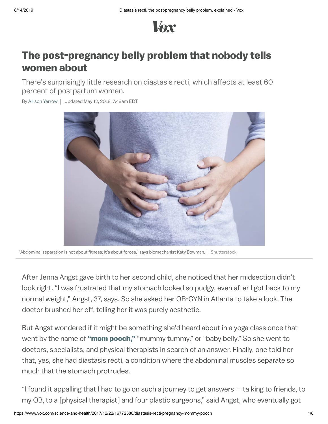

# The post-pregnancy belly problem that nobody tells women about

There's surprisingly little research on diastasis recti, which affects at least 60 percent of postpartum women.

By Allison [Yarrow](https://www.vox.com/users/Allison%20Yarrow) | Updated May 12, 2018, 7:48am EDT



"Abdominal separation is not about fitness; it's about forces," says biomechanist Katy Bowman. | Shutterstock

After Jenna Angst gave birth to her second child, she noticed that her midsection didn't look right. "I was frustrated that my stomach looked so pudgy, even after I got back to my normal weight," Angst, 37, says. So she asked her OB-GYN in Atlanta to take a look. The doctor brushed her off, telling her it was purely aesthetic.

But Angst wondered if it might be something she'd heard about in a yoga class once that went by the name of "mom [pooch,"](https://www.babble.com/body-mind/8-exercises-to-get-rid-of-the-mom-pooch/) "mummy tummy," or "baby belly." So she went to doctors, specialists, and physical therapists in search of an answer. Finally, one told her that, yes, she had diastasis recti, a condition where the abdominal muscles separate so much that the stomach protrudes.

"I found it appalling that I had to go on such a journey to get answers — talking to friends, to my OB, to a [physical therapist] and four plastic surgeons," said Angst, who eventually got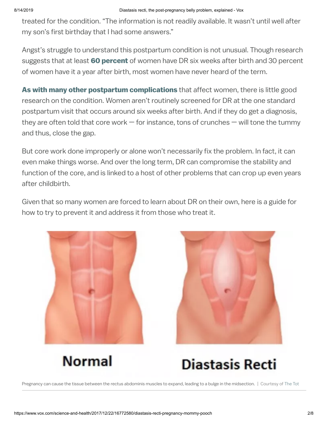treated for the condition. "The information is not readily available. It wasn't until well after my son's first birthday that I had some answers."

Angst's struggle to understand this postpartum condition is not unusual. Though research suggests that at least 60 [percent](http://bjsm.bmj.com/content/50/17/1092) of women have DR six weeks after birth and 30 percent of women have it a year after birth, most women have never heard of the term.

As with many [other postpartum](https://www.vox.com/science-and-health/2017/6/26/15872734/what-no-one-tells-new-moms-about-what-happens-after-childbirth) complications that affect women, there is little good research on the condition. Women aren't routinely screened for DR at the one standard postpartum visit that occurs around six weeks after birth. And if they do get a diagnosis, they are often told that core work  $-$  for instance, tons of crunches  $-$  will tone the tummy and thus, close the gap.

But core work done improperly or alone won't necessarily fix the problem. In fact, it can even make things worse. And over the long term, DR can compromise the stability and function of the core, and is linked to a host of other problems that can crop up even years after childbirth.

Given that so many women are forced to learn about DR on their own, here is a guide for how to try to prevent it and address it from those who treat it.





**Normal** 



Pregnancy can cause the tissue between the rectus abdominis muscles to expand, leading to a bulge in the midsection. | Courtesy of [The](https://go.redirectingat.com/?id=66960X1516588&xs=1&url=https%3A%2F%2Fwww.thetot.com%2Fmama%2Fwhat-is-diastasis-recti%2F) Tot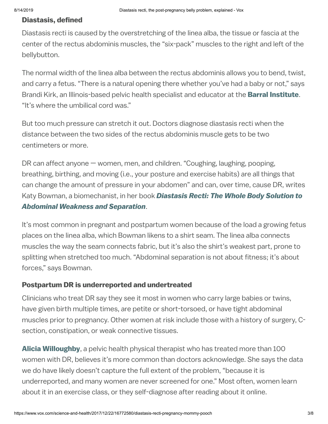## Diastasis, defined

Diastasis recti is caused by the overstretching of the linea alba, the tissue or fascia at the center of the rectus abdominis muscles, the "six-pack" muscles to the right and left of the bellybutton.

The normal width of the linea alba between the rectus abdominis allows you to bend, twist, and carry a fetus. "There is a natural opening there whether you've had a baby or not," says Brandi Kirk, an Illinois-based pelvic health specialist and educator at the **Barral [Institute](http://www.barralinstitute.com/)**. "It's where the umbilical cord was."

But too much pressure can stretch it out. Doctors diagnose diastasis recti when the distance between the two sides of the rectus abdominis muscle gets to be two centimeters or more.

DR can affect anyone — women, men, and children. "Coughing, laughing, pooping, breathing, birthing, and moving (i.e., your posture and exercise habits) are all things that can change the amount of pressure in your abdomen" and can, over time, cause DR, writes Katy Bowman, a [biomechanist,](https://go.redirectingat.com/?id=66960X1516588&xs=1&url=https%3A%2F%2Fwww.scribd.com%2Fdocument%2F354127730%2FDiastasis-Recti-the-Whole-Body-Solution-to-Abdominal-Weakness-and-Separation) in her book Diastasis Recti: The Whole Body Solution to Abdominal Weakness and Separation.

It's most common in pregnant and postpartum women because of the load a growing fetus places on the linea alba, which Bowman likens to a shirt seam. The linea alba connects muscles the way the seam connects fabric, but it's also the shirt's weakest part, prone to splitting when stretched too much. "Abdominal separation is not about fitness; it's about forces," says Bowman.

## Postpartum DR is underreported and undertreated

Clinicians who treat DR say they see it most in women who carry large babies or twins, have given birth multiple times, are petite or short-torsoed, or have tight abdominal muscles prior to pregnancy. Other women at risk include those with a history of surgery, Csection, constipation, or weak connective tissues.

**Alicia [Willoughby](http://aliciapt.com/)**, a pelvic health physical therapist who has treated more than 100 women with DR, believes it's more common than doctors acknowledge. She says the data we do have likely doesn't capture the full extent of the problem, "because it is underreported, and many women are never screened for one." Most often, women learn about it in an exercise class, or they self-diagnose after reading about it online.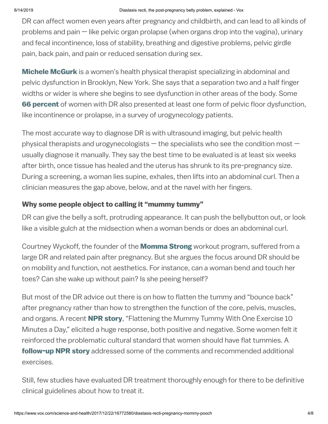DR can affect women even years after pregnancy and childbirth, and can lead to all kinds of problems and pain — like pelvic organ prolapse (when organs drop into the vagina), urinary and fecal incontinence, loss of stability, breathing and digestive problems, pelvic girdle pain, back pain, and pain or reduced sensation during sex.

**Michele [McGurk](http://www.danupt.com/)** is a women's health physical therapist specializing in abdominal and pelvic dysfunction in Brooklyn, New York. She says that a separation two and a half finger widths or wider is where she begins to see dysfunction in other areas of the body. Some **66 [percent](https://www.ncbi.nlm.nih.gov/pubmed/16868659)** of women with DR also presented at least one form of pelvic floor dysfunction, like incontinence or prolapse, in a survey of urogynecology patients.

The most accurate way to diagnose DR is with ultrasound imaging, but pelvic health physical therapists and urogynecologists  $-$  the specialists who see the condition most  $$ usually diagnose it manually. They say the best time to be evaluated is at least six weeks after birth, once tissue has healed and the uterus has shrunk to its pre-pregnancy size. During a screening, a woman lies supine, exhales, then lifts into an abdominal curl. Then a clinician measures the gap above, below, and at the navel with her fingers.

## Why some people object to calling it "mummy tummy"

DR can give the belly a soft, protruding appearance. It can push the bellybutton out, or look like a visible gulch at the midsection when a woman bends or does an abdominal curl.

Courtney Wyckoff, the founder of the **[Momma](http://www.mommastrong.com/our-team/) Strong** workout program, suffered from a large DR and related pain after pregnancy. But she argues the focus around DR should be on mobility and function, not aesthetics. For instance, can a woman bend and touch her toes? Can she wake up without pain? Is she peeing herself?

But most of the DR advice out there is on how to flatten the tummy and "bounce back" after pregnancy rather than how to strengthen the function of the core, pelvis, muscles, and organs. A recent **NPR [story](http://www.npr.org/sections/health-shots/2017/08/07/541204499/flattening-the-mummy-tummy-with-1-exercise-10-minutes-a-day)**, "Flattening the Mummy Tummy With One Exercise 10 Minutes a Day," elicited a huge response, both positive and negative. Some women felt it reinforced the problematic cultural standard that women should have flat tummies. A **[follow-up](https://www.npr.org/sections/health-shots/2017/08/20/542424977/getting-to-the-core-of-exercises-said-to-strengthen-mum-tum) NPR story** addressed some of the comments and recommended additional exercises.

Still, few studies have evaluated DR treatment thoroughly enough for there to be definitive clinical guidelines about how to treat it.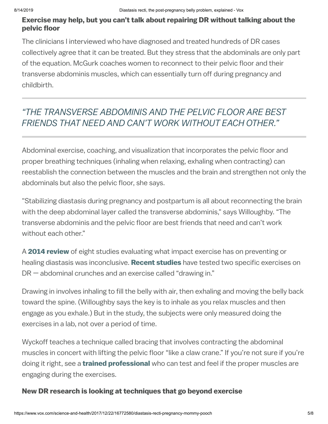## Exercise may help, but you can't talk about repairing DR without talking about the pelvic floor

The clinicians I interviewed who have diagnosed and treated hundreds of DR cases collectively agree that it can be treated. But they stress that the abdominals are only part of the equation. McGurk coaches women to reconnect to their pelvic floor and their transverse abdominis muscles, which can essentially turn off during pregnancy and childbirth.

## "THE TRANSVERSE ABDOMINIS AND THE PELVIC FLOOR ARE BEST FRIENDS THAT NEED AND CAN'T WORK WITHOUT EACH OTHER."

Abdominal exercise, coaching, and visualization that incorporates the pelvic floor and proper breathing techniques (inhaling when relaxing, exhaling when contracting) can reestablish the connection between the muscles and the brain and strengthen not only the abdominals but also the pelvic floor, she says.

"Stabilizing diastasis during pregnancy and postpartum is all about reconnecting the brain with the deep abdominal layer called the transverse abdominis," says Willoughby. "The transverse abdominis and the pelvic floor are best friends that need and can't work without each other."

A 2014 [review](https://www.ncbi.nlm.nih.gov/pubmedhealth/PMH0061870/) of eight studies evaluating what impact exercise has on preventing or healing diastasis was inconclusive. [Recent](https://www.ncbi.nlm.nih.gov/pubmed/26094117) [studies](https://www.ncbi.nlm.nih.gov/pubmed/26304639) have tested two specific exercises on DR — abdominal crunches and an exercise called "drawing in."

Drawing in involves inhaling to fill the belly with air, then exhaling and moving the belly back toward the spine. (Willoughby says the key is to inhale as you relax muscles and then engage as you exhale.) But in the study, the subjects were only measured doing the exercises in a lab, not over a period of time.

Wyckoff teaches a technique called bracing that involves contracting the abdominal muscles in concert with lifting the pelvic floor "like a claw crane." If you're not sure if you're doing it right, see a **[trained](https://hermanwallace.com/) [professional](https://www.apta.org/)** who can test and feel if the proper muscles are engaging during the exercises.

## New DR research is looking at techniques that go beyond exercise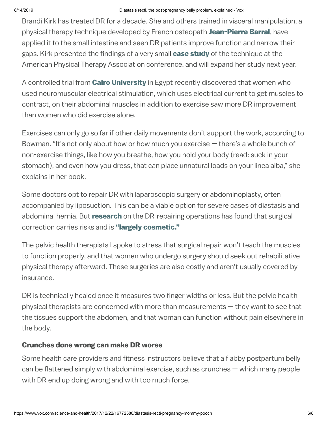Brandi Kirk has treated DR for a decade. She and others trained in visceral manipulation, a physical therapy technique developed by French osteopath [Jean-Pierre](http://www.barralinstitute.com/) Barral, have applied it to the small intestine and seen DR patients improve function and narrow their gaps. Kirk presented the findings of a very small **case [study](http://www.barralinstitute.com/docs/articles/effect-of-visceral-manipulation-on-diastasis-recti-abdominis--dra--a-caseseries.pdf?mc_cid=53a3125ed9&mc_eid=f674e44c67)** of the technique at the American Physical Therapy Association conference, and will expand her study next year.

A controlled trial from **Cairo [University](https://synapse.koreamed.org/DOIx.php?id=10.5535/arm.2017.41.3.465)** in Egypt recently discovered that women who used neuromuscular electrical stimulation, which uses electrical current to get muscles to contract, on their abdominal muscles in addition to exercise saw more DR improvement than women who did exercise alone.

Exercises can only go so far if other daily movements don't support the work, according to Bowman. "It's not only about how or how much you exercise — there's a whole bunch of non-exercise things, like how you breathe, how you hold your body (read: suck in your stomach), and even how you dress, that can place unnatural loads on your linea alba," she explains in her book.

Some doctors opt to repair DR with laparoscopic surgery or abdominoplasty, often accompanied by liposuction. This can be a viable option for severe cases of diastasis and abdominal hernia. But [research](https://go.redirectingat.com/?id=66960X1516588&xs=1&url=https%3A%2F%2Flink.springer.com%2Farticle%2F10.1007%252Fs10029-011-0839-4) on the DR-repairing operations has found that surgical correction carries risks and is "largely [cosmetic."](https://go.redirectingat.com/?id=66960X1516588&xs=1&url=https%3A%2F%2Flink.springer.com%2Farticle%2F10.1007%252Fs10029-011-0839-4)

The pelvic health therapists I spoke to stress that surgical repair won't teach the muscles to function properly, and that women who undergo surgery should seek out rehabilitative physical therapy afterward. These surgeries are also costly and aren't usually covered by insurance.

DR is technically healed once it measures two finger widths or less. But the pelvic health physical therapists are concerned with more than measurements  $-$  they want to see that the tissues support the abdomen, and that woman can function without pain elsewhere in the body.

#### Crunches done wrong can make DR worse

Some health care providers and fitness instructors believe that a flabby postpartum belly can be flattened simply with abdominal exercise, such as crunches — which many people with DR end up doing wrong and with too much force.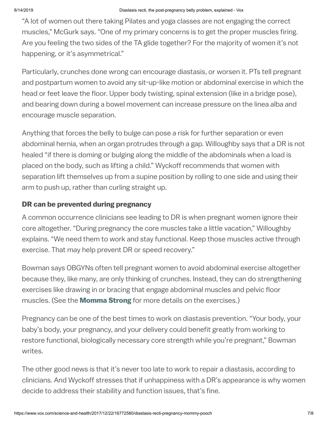"A lot of women out there taking Pilates and yoga classes are not engaging the correct muscles," McGurk says. "One of my primary concerns is to get the proper muscles firing. Are you feeling the two sides of the TA glide together? For the majority of women it's not happening, or it's asymmetrical."

Particularly, crunches done wrong can encourage diastasis, or worsen it. PTs tell pregnant and postpartum women to avoid any sit-up-like motion or abdominal exercise in which the head or feet leave the floor. Upper body twisting, spinal extension (like in a bridge pose), and bearing down during a bowel movement can increase pressure on the linea alba and encourage muscle separation.

Anything that forces the belly to bulge can pose a risk for further separation or even abdominal hernia, when an organ protrudes through a gap. Willoughby says that a DR is not healed "if there is doming or bulging along the middle of the abdominals when a load is placed on the body, such as lifting a child." Wyckoff recommends that women with separation lift themselves up from a supine position by rolling to one side and using their arm to push up, rather than curling straight up.

## DR can be prevented during pregnancy

A common occurrence clinicians see leading to DR is when pregnant women ignore their core altogether. "During pregnancy the core muscles take a little vacation," Willoughby explains. "We need them to work and stay functional. Keep those muscles active through exercise. That may help prevent DR or speed recovery."

Bowman says OBGYNs often tell pregnant women to avoid abdominal exercise altogether because they, like many, are only thinking of crunches. Instead, they can do strengthening exercises like drawing in or bracing that engage abdominal muscles and pelvic floor muscles. (See the **[Momma](http://www.mommastrong.com/) Strong** for more details on the exercises.)

Pregnancy can be one of the best times to work on diastasis prevention. "Your body, your baby's body, your pregnancy, and your delivery could benefit greatly from working to restore functional, biologically necessary core strength while you're pregnant," Bowman writes.

The other good news is that it's never too late to work to repair a diastasis, according to clinicians. And Wyckoff stresses that if unhappiness with a DR's appearance is why women decide to address their stability and function issues, that's fine.